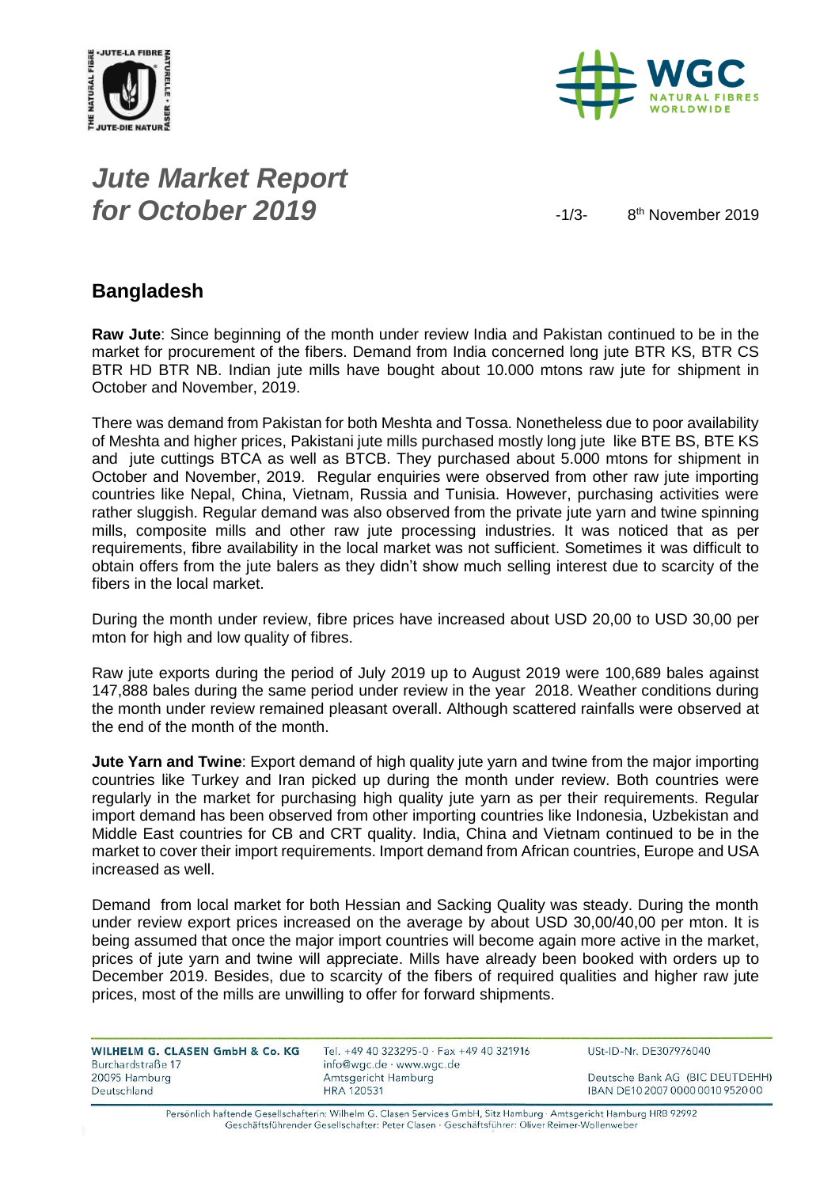



# *Jute Market Report for October 2019*  $\frac{1}{3}$

8<sup>th</sup> November 2019

#### **Bangladesh**

**Raw Jute**: Since beginning of the month under review India and Pakistan continued to be in the market for procurement of the fibers. Demand from India concerned long jute BTR KS, BTR CS BTR HD BTR NB. Indian jute mills have bought about 10.000 mtons raw jute for shipment in October and November, 2019.

There was demand from Pakistan for both Meshta and Tossa. Nonetheless due to poor availability of Meshta and higher prices, Pakistani jute mills purchased mostly long jute like BTE BS, BTE KS and jute cuttings BTCA as well as BTCB. They purchased about 5.000 mtons for shipment in October and November, 2019. Regular enquiries were observed from other raw jute importing countries like Nepal, China, Vietnam, Russia and Tunisia. However, purchasing activities were rather sluggish. Regular demand was also observed from the private jute yarn and twine spinning mills, composite mills and other raw jute processing industries. It was noticed that as per requirements, fibre availability in the local market was not sufficient. Sometimes it was difficult to obtain offers from the jute balers as they didn't show much selling interest due to scarcity of the fibers in the local market.

During the month under review, fibre prices have increased about USD 20,00 to USD 30,00 per mton for high and low quality of fibres.

Raw jute exports during the period of July 2019 up to August 2019 were 100,689 bales against 147,888 bales during the same period under review in the year 2018. Weather conditions during the month under review remained pleasant overall. Although scattered rainfalls were observed at the end of the month of the month.

**Jute Yarn and Twine**: Export demand of high quality jute yarn and twine from the major importing countries like Turkey and Iran picked up during the month under review. Both countries were regularly in the market for purchasing high quality jute yarn as per their requirements. Regular import demand has been observed from other importing countries like Indonesia, Uzbekistan and Middle East countries for CB and CRT quality. India, China and Vietnam continued to be in the market to cover their import requirements. Import demand from African countries, Europe and USA increased as well.

Demand from local market for both Hessian and Sacking Quality was steady. During the month under review export prices increased on the average by about USD 30,00/40,00 per mton. It is being assumed that once the major import countries will become again more active in the market, prices of jute yarn and twine will appreciate. Mills have already been booked with orders up to December 2019. Besides, due to scarcity of the fibers of required qualities and higher raw jute prices, most of the mills are unwilling to offer for forward shipments.

| WILHELM G. CLASEN GmbH & Co. KG | Tel. +49 40 323295-0 · Fax +49 40 321916 | USt-ID-Nr. DE307976040           |
|---------------------------------|------------------------------------------|----------------------------------|
| Burchardstraße 17               | info@wgc.de · www.wgc.de                 |                                  |
| 20095 Hamburg                   | Amtsgericht Hamburg                      | Deutsche Bank AG (BIC DEUTDEHH)  |
| Deutschland                     | HRA 120531                               | IBAN DE10 2007 0000 0010 9520 00 |

Persönlich haftende Gesellschafterin: Wilhelm G. Clasen Services GmbH, Sitz Hamburg · Amtsgericht Hamburg HRB 92992 Geschäftsführender Gesellschafter: Peter Clasen · Geschäftsführer: Oliver Reimer-Wollenweber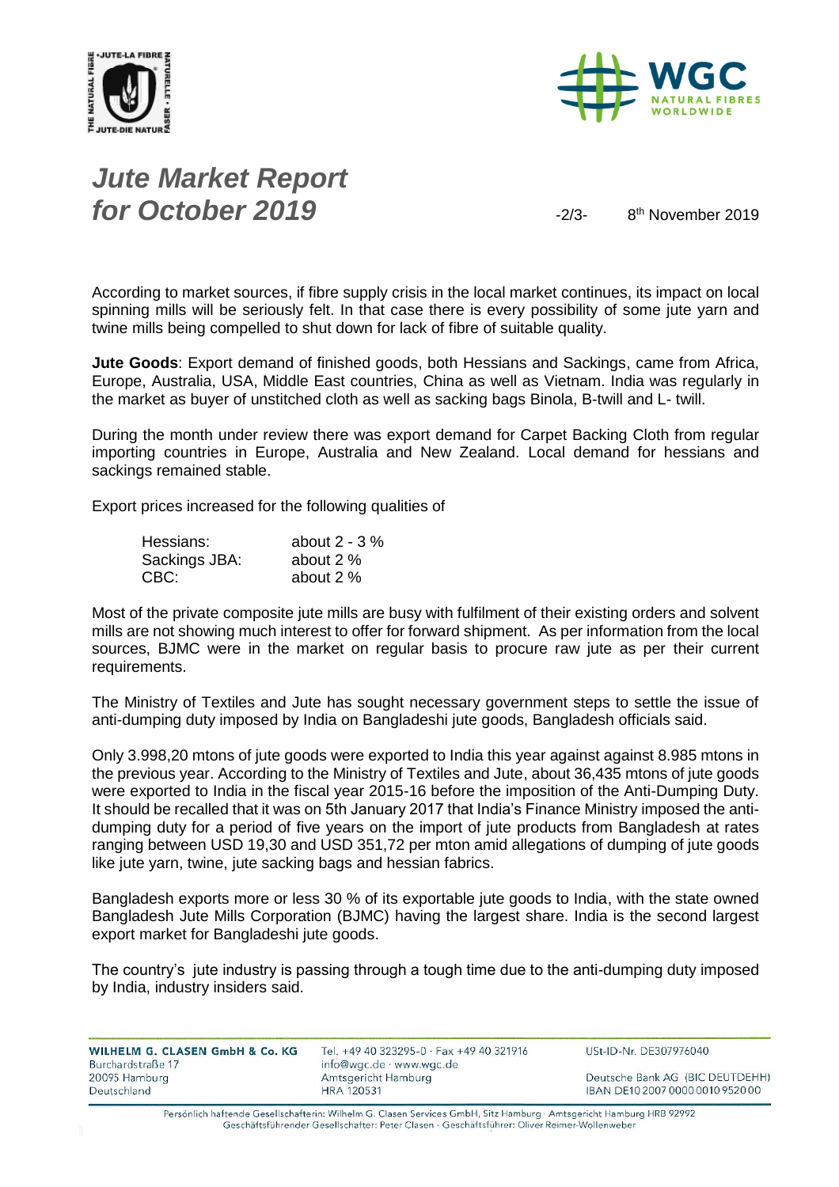



# *Jute Market Report for October 2019*  $\frac{2}{3}$

8<sup>th</sup> November 2019

According to market sources, if fibre supply crisis in the local market continues, its impact on local spinning mills will be seriously felt. In that case there is every possibility of some jute yarn and twine mills being compelled to shut down for lack of fibre of suitable quality.

**Jute Goods**: Export demand of finished goods, both Hessians and Sackings, came from Africa, Europe, Australia, USA, Middle East countries, China as well as Vietnam. India was regularly in the market as buyer of unstitched cloth as well as sacking bags Binola, B-twill and L- twill.

During the month under review there was export demand for Carpet Backing Cloth from regular importing countries in Europe, Australia and New Zealand. Local demand for hessians and sackings remained stable.

Export prices increased for the following qualities of

| Hessians:     | about $2 - 3\%$ |
|---------------|-----------------|
| Sackings JBA: | about 2 %       |
| CBC:          | about 2 %       |

Most of the private composite jute mills are busy with fulfilment of their existing orders and solvent mills are not showing much interest to offer for forward shipment. As per information from the local sources, BJMC were in the market on regular basis to procure raw jute as per their current requirements.

The Ministry of Textiles and Jute has sought necessary government steps to settle the issue of anti-dumping duty imposed by India on Bangladeshi jute goods, Bangladesh officials said.

Only 3.998,20 mtons of jute goods were exported to India this year against against 8.985 mtons in the previous year. According to the Ministry of Textiles and Jute, about 36,435 mtons of jute goods were exported to India in the fiscal year 2015-16 before the imposition of the Anti-Dumping Duty. It should be recalled that it was on 5th January 2017 that India's Finance Ministry imposed the antidumping duty for a period of five years on the import of jute products from Bangladesh at rates ranging between USD 19,30 and USD 351,72 per mton amid allegations of dumping of jute goods like jute yarn, twine, jute sacking bags and hessian fabrics.

Bangladesh exports more or less 30 % of its exportable jute goods to India, with the state owned Bangladesh Jute Mills Corporation (BJMC) having the largest share. India is the second largest export market for Bangladeshi jute goods.

The country's jute industry is passing through a tough time due to the anti-dumping duty imposed by India, industry insiders said.

| WILHELM G. CLASEN GmbH & Co. KG | Tel. +49 40 323295-0 · Fax +49 40 321916 | USt-ID-Nr. DE307976040           |
|---------------------------------|------------------------------------------|----------------------------------|
| Burchardstraße 17               | info@wgc.de · www.wgc.de                 |                                  |
| 20095 Hamburg                   | Amtsgericht Hamburg                      | Deutsche Bank AG (BIC DEUTDEHH)  |
| Deutschland                     | <b>HRA 120531</b>                        | IBAN DE10 2007 0000 0010 9520 00 |
|                                 |                                          |                                  |

Persönlich haftende Gesellschafterin: Wilhelm G. Clasen Services GmbH, Sitz Hamburg · Amtsgericht Hamburg HRB 92992 Geschäftsführender Gesellschafter: Peter Clasen · Geschäftsführer: Oliver Reimer-Wollenweber